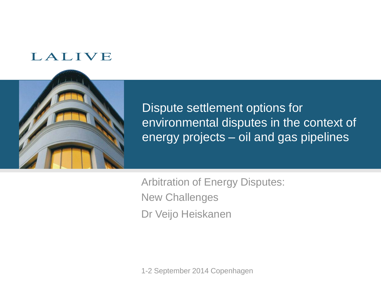#### LALIVE



Dispute settlement options for environmental disputes in the context of energy projects – oil and gas pipelines

Arbitration of Energy Disputes: New Challenges Dr Veijo Heiskanen

1-2 September 2014 Copenhagen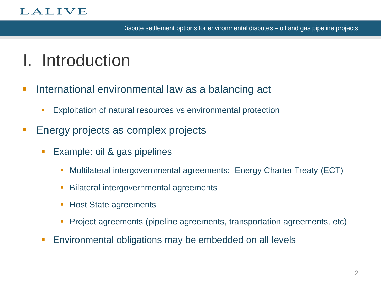#### LALIVE

## I. Introduction

- **International environmental law as a balancing act** 
	- **Exploitation of natural resources vs environmental protection**
- **Energy projects as complex projects** 
	- Example: oil & gas pipelines
		- Multilateral intergovernmental agreements: Energy Charter Treaty (ECT)
		- Bilateral intergovernmental agreements
		- Host State agreements
		- Project agreements (pipeline agreements, transportation agreements, etc)
	- **Environmental obligations may be embedded on all levels**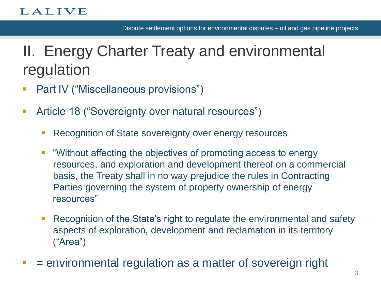## II. Energy Charter Treaty and environmental regulation

- **Part IV ("Miscellaneous provisions")**
- **Article 18 ("Sovereignty over natural resources")** 
	- Recognition of State sovereignty over energy resources
	- "Without affecting the objectives of promoting access to energy resources, and exploration and development thereof on a commercial basis, the Treaty shall in no way prejudice the rules in Contracting Parties governing the system of property ownership of energy resources"
	- Recognition of the State's right to regulate the environmental and safety aspects of exploration, development and reclamation in its territory ("Area")
- $=$  environmental regulation as a matter of sovereign right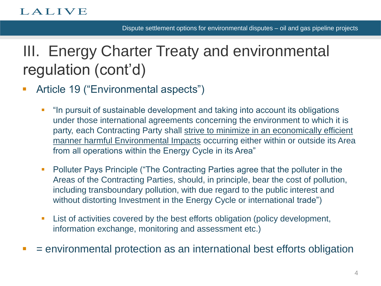# III. Energy Charter Treaty and environmental regulation (cont'd)

- **Article 19 ("Environmental aspects")** 
	- "In pursuit of sustainable development and taking into account its obligations under those international agreements concerning the environment to which it is party, each Contracting Party shall strive to minimize in an economically efficient manner harmful Environmental Impacts occurring either within or outside its Area from all operations within the Energy Cycle in its Area"
	- **Polluter Pays Principle ("The Contracting Parties agree that the polluter in the** Areas of the Contracting Parties, should, in principle, bear the cost of pollution, including transboundary pollution, with due regard to the public interest and without distorting Investment in the Energy Cycle or international trade")
	- List of activities covered by the best efforts obligation (policy development, information exchange, monitoring and assessment etc.)
- $\blacksquare$  = environmental protection as an international best efforts obligation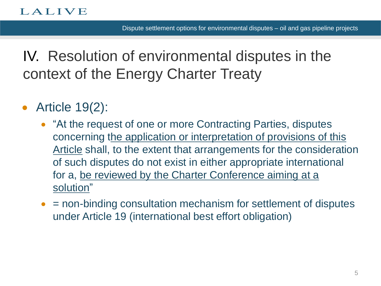IV. Resolution of environmental disputes in the context of the Energy Charter Treaty

- Article 19(2):
	- "At the request of one or more Contracting Parties, disputes concerning the application or interpretation of provisions of this Article shall, to the extent that arrangements for the consideration of such disputes do not exist in either appropriate international for a, be reviewed by the Charter Conference aiming at a solution"
	- = non-binding consultation mechanism for settlement of disputes under Article 19 (international best effort obligation)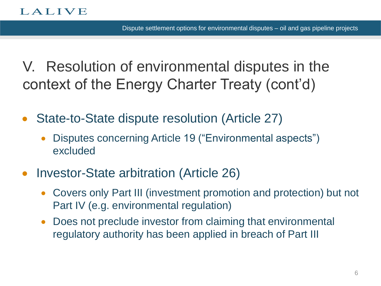V. Resolution of environmental disputes in the context of the Energy Charter Treaty (cont'd)

- State-to-State dispute resolution (Article 27)
	- Disputes concerning Article 19 ("Environmental aspects") excluded
- Investor-State arbitration (Article 26)
	- Covers only Part III (investment promotion and protection) but not Part IV (e.g. environmental regulation)
	- Does not preclude investor from claiming that environmental regulatory authority has been applied in breach of Part III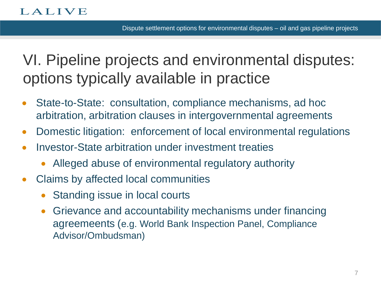VI. Pipeline projects and environmental disputes: options typically available in practice

- State-to-State: consultation, compliance mechanisms, ad hoc arbitration, arbitration clauses in intergovernmental agreements
- Domestic litigation: enforcement of local environmental regulations
- Investor-State arbitration under investment treaties
	- Alleged abuse of environmental regulatory authority
- Claims by affected local communities
	- Standing issue in local courts
	- Grievance and accountability mechanisms under financing agreemeents (e.g. World Bank Inspection Panel, Compliance Advisor/Ombudsman)